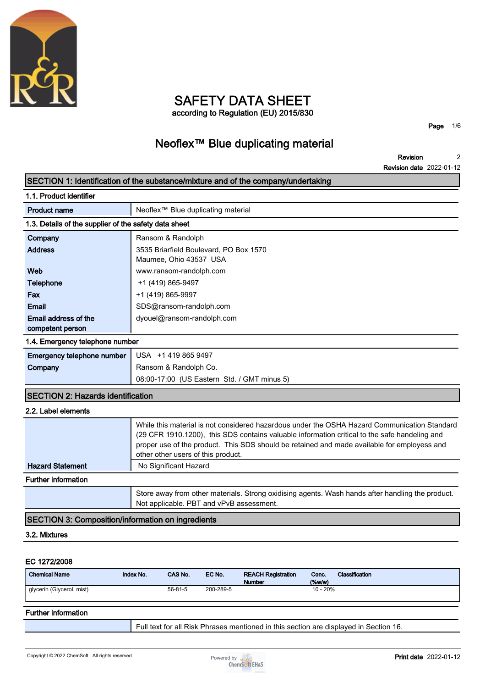

# **SAFETY DATA SHEET according to Regulation (EU) 2015/830**

**Page 1/6**

# **Neoflex™ Blue duplicating material**

**Revision Revision date 2022-01-12 2**

| 1.1. Product identifier<br>Neoflex <sup>™</sup> Blue duplicating material<br><b>Product name</b><br>1.3. Details of the supplier of the safety data sheet<br>Company<br>Ransom & Randolph<br><b>Address</b><br>3535 Briarfield Boulevard, PO Box 1570<br>Maumee, Ohio 43537 USA<br>Web<br>www.ransom-randolph.com<br><b>Telephone</b><br>+1 (419) 865-9497<br>+1 (419) 865-9997<br>Fax<br>Email<br>SDS@ransom-randolph.com<br>Email address of the<br>dyouel@ransom-randolph.com |
|----------------------------------------------------------------------------------------------------------------------------------------------------------------------------------------------------------------------------------------------------------------------------------------------------------------------------------------------------------------------------------------------------------------------------------------------------------------------------------|
|                                                                                                                                                                                                                                                                                                                                                                                                                                                                                  |
|                                                                                                                                                                                                                                                                                                                                                                                                                                                                                  |
|                                                                                                                                                                                                                                                                                                                                                                                                                                                                                  |
|                                                                                                                                                                                                                                                                                                                                                                                                                                                                                  |
|                                                                                                                                                                                                                                                                                                                                                                                                                                                                                  |
|                                                                                                                                                                                                                                                                                                                                                                                                                                                                                  |
|                                                                                                                                                                                                                                                                                                                                                                                                                                                                                  |
|                                                                                                                                                                                                                                                                                                                                                                                                                                                                                  |
|                                                                                                                                                                                                                                                                                                                                                                                                                                                                                  |
| competent person                                                                                                                                                                                                                                                                                                                                                                                                                                                                 |
| 1.4. Emergency telephone number                                                                                                                                                                                                                                                                                                                                                                                                                                                  |
| Emergency telephone number<br>USA +1 419 865 9497                                                                                                                                                                                                                                                                                                                                                                                                                                |
| Ransom & Randolph Co.<br>Company                                                                                                                                                                                                                                                                                                                                                                                                                                                 |
| 08:00-17:00 (US Eastern Std. / GMT minus 5)                                                                                                                                                                                                                                                                                                                                                                                                                                      |
| <b>SECTION 2: Hazards identification</b>                                                                                                                                                                                                                                                                                                                                                                                                                                         |
| 2.2. Label elements                                                                                                                                                                                                                                                                                                                                                                                                                                                              |
| While this material is not considered hazardous under the OSHA Hazard Communication Standard<br>(29 CFR 1910.1200), this SDS contains valuable information critical to the safe handeling and<br>proper use of the product. This SDS should be retained and made available for employess and<br>other other users of this product.                                                                                                                                               |
| <b>Hazard Statement</b><br>No Significant Hazard                                                                                                                                                                                                                                                                                                                                                                                                                                 |
| <b>Further information</b>                                                                                                                                                                                                                                                                                                                                                                                                                                                       |
| Store away from other materials. Strong oxidising agents. Wash hands after handling the product.<br>Not applicable. PBT and vPvB assessment.                                                                                                                                                                                                                                                                                                                                     |
| <b>SECTION 3: Composition/information on ingredients</b>                                                                                                                                                                                                                                                                                                                                                                                                                         |
| 3.2. Mixtures                                                                                                                                                                                                                                                                                                                                                                                                                                                                    |

#### **EC 1272/2008**

| <b>Chemical Name</b>      | Index No. | CAS No.       | EC No.    | <b>REACH Registration</b><br><b>Number</b> | Conc.<br>$(\%w/w)$ | Classification |
|---------------------------|-----------|---------------|-----------|--------------------------------------------|--------------------|----------------|
| glycerin (Glycerol, mist) |           | $56 - 81 - 5$ | 200-289-5 |                                            | 10 - 20%           |                |

#### **Further information**

**Full text for all Risk Phrases mentioned in this section are displayed in Section 16.**

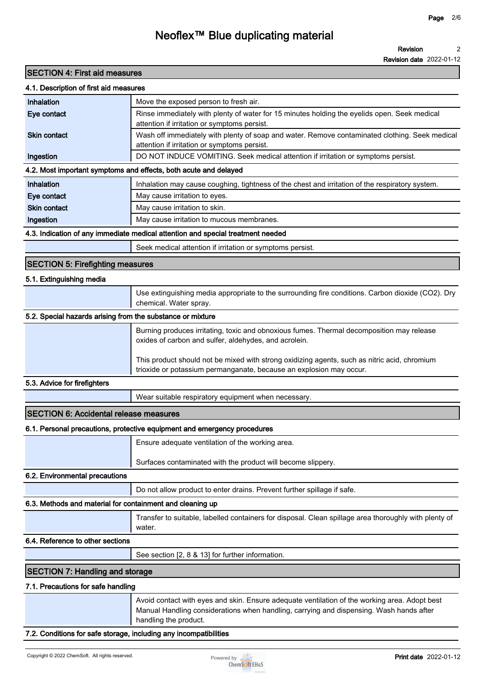**Revision date 2022-01-12**

### **SECTION 4: First aid measures**

|  | 4.1. Description of first aid measures |  |  |
|--|----------------------------------------|--|--|
|--|----------------------------------------|--|--|

| 4.1. Description of first aid measures                            |                                                                                                                                                                                                                   |
|-------------------------------------------------------------------|-------------------------------------------------------------------------------------------------------------------------------------------------------------------------------------------------------------------|
| Inhalation                                                        | Move the exposed person to fresh air.                                                                                                                                                                             |
| Eye contact                                                       | Rinse immediately with plenty of water for 15 minutes holding the eyelids open. Seek medical<br>attention if irritation or symptoms persist.                                                                      |
| <b>Skin contact</b>                                               | Wash off immediately with plenty of soap and water. Remove contaminated clothing. Seek medical<br>attention if irritation or symptoms persist.                                                                    |
| Ingestion                                                         | DO NOT INDUCE VOMITING. Seek medical attention if irritation or symptoms persist.                                                                                                                                 |
|                                                                   | 4.2. Most important symptoms and effects, both acute and delayed                                                                                                                                                  |
| Inhalation                                                        | Inhalation may cause coughing, tightness of the chest and irritation of the respiratory system.                                                                                                                   |
| Eye contact                                                       | May cause irritation to eyes.                                                                                                                                                                                     |
| <b>Skin contact</b>                                               | May cause irritation to skin.                                                                                                                                                                                     |
| Ingestion                                                         | May cause irritation to mucous membranes.                                                                                                                                                                         |
|                                                                   | 4.3. Indication of any immediate medical attention and special treatment needed                                                                                                                                   |
|                                                                   | Seek medical attention if irritation or symptoms persist.                                                                                                                                                         |
| <b>SECTION 5: Firefighting measures</b>                           |                                                                                                                                                                                                                   |
| 5.1. Extinguishing media                                          |                                                                                                                                                                                                                   |
|                                                                   | Use extinguishing media appropriate to the surrounding fire conditions. Carbon dioxide (CO2). Dry<br>chemical. Water spray.                                                                                       |
| 5.2. Special hazards arising from the substance or mixture        |                                                                                                                                                                                                                   |
|                                                                   | Burning produces irritating, toxic and obnoxious fumes. Thermal decomposition may release<br>oxides of carbon and sulfer, aldehydes, and acrolein.                                                                |
|                                                                   | This product should not be mixed with strong oxidizing agents, such as nitric acid, chromium<br>trioxide or potassium permanganate, because an explosion may occur.                                               |
| 5.3. Advice for firefighters                                      |                                                                                                                                                                                                                   |
|                                                                   | Wear suitable respiratory equipment when necessary.                                                                                                                                                               |
| <b>SECTION 6: Accidental release measures</b>                     |                                                                                                                                                                                                                   |
|                                                                   | 6.1. Personal precautions, protective equipment and emergency procedures                                                                                                                                          |
|                                                                   | Ensure adequate ventilation of the working area.                                                                                                                                                                  |
|                                                                   | Surfaces contaminated with the product will become slippery.                                                                                                                                                      |
| 6.2. Environmental precautions                                    |                                                                                                                                                                                                                   |
|                                                                   | Do not allow product to enter drains. Prevent further spillage if safe.                                                                                                                                           |
| 6.3. Methods and material for containment and cleaning up         |                                                                                                                                                                                                                   |
|                                                                   | Transfer to suitable, labelled containers for disposal. Clean spillage area thoroughly with plenty of<br>water.                                                                                                   |
| 6.4. Reference to other sections                                  |                                                                                                                                                                                                                   |
|                                                                   | See section [2, 8 & 13] for further information.                                                                                                                                                                  |
| <b>SECTION 7: Handling and storage</b>                            |                                                                                                                                                                                                                   |
| 7.1. Precautions for safe handling                                |                                                                                                                                                                                                                   |
|                                                                   | Avoid contact with eyes and skin. Ensure adequate ventilation of the working area. Adopt best<br>Manual Handling considerations when handling, carrying and dispensing. Wash hands after<br>handling the product. |
| 7.2. Conditions for safe storage, including any incompatibilities |                                                                                                                                                                                                                   |

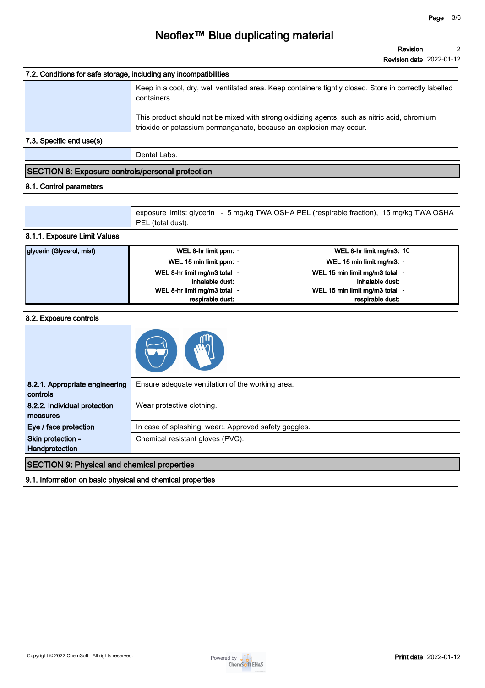| 7.2. Conditions for safe storage, including any incompatibilities |                                                                                                                                                                     |
|-------------------------------------------------------------------|---------------------------------------------------------------------------------------------------------------------------------------------------------------------|
|                                                                   | Keep in a cool, dry, well ventilated area. Keep containers tightly closed. Store in correctly labelled<br>containers.                                               |
|                                                                   | This product should not be mixed with strong oxidizing agents, such as nitric acid, chromium<br>trioxide or potassium permanganate, because an explosion may occur. |
| 7.3. Specific end use(s)                                          |                                                                                                                                                                     |
|                                                                   | Dental Labs.                                                                                                                                                        |

### **SECTION 8: Exposure controls/personal protection**

#### **8.1. Control parameters**

**exposure limits: glycerin - 5 mg/kg TWA OSHA PEL (respirable fraction), 15 mg/kg TWA OSHA PEL (total dust).**

#### **8.1.1. Exposure Limit Values**

| glycerin (Glycerol, mist) | WEL 8-hr limit ppm: -        | WEL 8-hr limit mg/m3: $10$     |
|---------------------------|------------------------------|--------------------------------|
|                           | WEL 15 min limit ppm: -      | WEL 15 min limit mg/m3: -      |
|                           | WEL 8-hr limit mg/m3 total   | WEL 15 min limit mg/m3 total - |
|                           | inhalable dust:              | inhalable dust:                |
|                           | WEL 8-hr limit mg/m3 total - | WEL 15 min limit mg/m3 total - |
|                           | respirable dust:             | respirable dust:               |

#### **8.2. Exposure controls**

| 8.2.1. Appropriate engineering<br>controls | Ensure adequate ventilation of the working area.      |
|--------------------------------------------|-------------------------------------------------------|
| 8.2.2. Individual protection<br>measures   | Wear protective clothing.                             |
| Eye / face protection                      | In case of splashing, wear:. Approved safety goggles. |
| Skin protection -<br>Handprotection        | Chemical resistant gloves (PVC).                      |
|                                            |                                                       |

**SECTION 9: Physical and chemical properties**

**9.1. Information on basic physical and chemical properties**

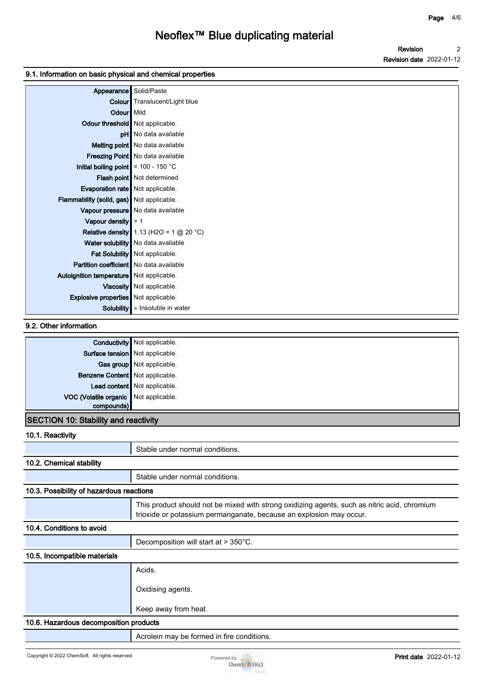**Revision Revision date 2022-01-12 2**

#### **9.1. Information on basic physical and chemical properties**

| Appearance                                   | Solid/Paste                               |
|----------------------------------------------|-------------------------------------------|
| Colour                                       | Translucent/Light blue                    |
| Odour   Mild                                 |                                           |
| Odour threshold   Not applicable.            |                                           |
|                                              | <b>pH</b> No data available               |
|                                              | Melting point   No data available         |
|                                              | Freezing Point   No data available        |
| Initial boiling point $\vert$ = 100 - 150 °C |                                           |
|                                              | Flash point Not determined                |
| Evaporation rate   Not applicable.           |                                           |
| Flammability (solid, gas) Not applicable.    |                                           |
|                                              | Vapour pressure   No data available       |
| Vapour density $\geq 1$                      |                                           |
|                                              | Relative density 1.13 (H2O = 1 $@$ 20 °C) |
|                                              | Water solubility   No data available      |
|                                              | Fat Solubility   Not applicable.          |
| Partition coefficient   No data available    |                                           |
| Autoignition temperature Not applicable.     |                                           |
|                                              | Viscosity   Not applicable.               |
| <b>Explosive properties</b> Not applicable.  |                                           |
| Solubility                                   | $\approx$ Insoluble in water              |

#### **9.2. Other information**

|                                             | <b>Conductivity</b> Not applicable. |  |
|---------------------------------------------|-------------------------------------|--|
| Surface tension   Not applicable.           |                                     |  |
|                                             | Gas group   Not applicable.         |  |
| Benzene Content   Not applicable.           |                                     |  |
|                                             | Lead content Not applicable.        |  |
| VOC (Volatile organic Not applicable.       |                                     |  |
| compounds)                                  |                                     |  |
| <b>SECTION 10: Stability and reactivity</b> |                                     |  |

## **10.1. Reactivity**

| .                                        |                                                                                                                                                                     |
|------------------------------------------|---------------------------------------------------------------------------------------------------------------------------------------------------------------------|
|                                          | Stable under normal conditions.                                                                                                                                     |
| 10.2. Chemical stability                 |                                                                                                                                                                     |
|                                          | Stable under normal conditions.                                                                                                                                     |
| 10.3. Possibility of hazardous reactions |                                                                                                                                                                     |
|                                          | This product should not be mixed with strong oxidizing agents, such as nitric acid, chromium<br>trioxide or potassium permanganate, because an explosion may occur. |
| 10.4. Conditions to avoid                |                                                                                                                                                                     |
|                                          | Decomposition will start at > 350°C.                                                                                                                                |
| 10.5. Incompatible materials             |                                                                                                                                                                     |
|                                          | Acids.                                                                                                                                                              |
|                                          | Oxidising agents.                                                                                                                                                   |
|                                          | Keep away from heat.                                                                                                                                                |
| 10.6. Hazardous decomposition products   |                                                                                                                                                                     |
|                                          |                                                                                                                                                                     |

**Acrolein may be formed in fire conditions.**

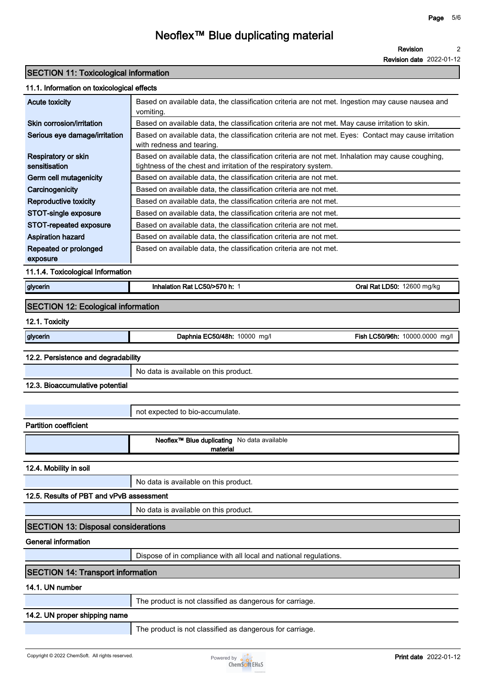**Revision 2**

**Revision date 2022-01-12**

#### **SECTION 11: Toxicological information**

| 11.1. Information on toxicological effects |                                                                                                                                                                      |                                |  |
|--------------------------------------------|----------------------------------------------------------------------------------------------------------------------------------------------------------------------|--------------------------------|--|
| <b>Acute toxicity</b>                      | Based on available data, the classification criteria are not met. Ingestion may cause nausea and<br>vomiting.                                                        |                                |  |
| Skin corrosion/irritation                  | Based on available data, the classification criteria are not met. May cause irritation to skin.                                                                      |                                |  |
| Serious eye damage/irritation              | Based on available data, the classification criteria are not met. Eyes: Contact may cause irritation<br>with redness and tearing.                                    |                                |  |
| Respiratory or skin<br>sensitisation       | Based on available data, the classification criteria are not met. Inhalation may cause coughing,<br>tightness of the chest and irritation of the respiratory system. |                                |  |
| Germ cell mutagenicity                     | Based on available data, the classification criteria are not met.                                                                                                    |                                |  |
| Carcinogenicity                            | Based on available data, the classification criteria are not met.                                                                                                    |                                |  |
| <b>Reproductive toxicity</b>               | Based on available data, the classification criteria are not met.                                                                                                    |                                |  |
| STOT-single exposure                       | Based on available data, the classification criteria are not met.                                                                                                    |                                |  |
| STOT-repeated exposure                     | Based on available data, the classification criteria are not met.                                                                                                    |                                |  |
| <b>Aspiration hazard</b>                   | Based on available data, the classification criteria are not met.                                                                                                    |                                |  |
| Repeated or prolonged<br>exposure          | Based on available data, the classification criteria are not met.                                                                                                    |                                |  |
| 11.1.4. Toxicological Information          |                                                                                                                                                                      |                                |  |
| glycerin                                   | Inhalation Rat LC50/>570 h: 1                                                                                                                                        | Oral Rat LD50: 12600 mg/kg     |  |
| <b>SECTION 12: Ecological information</b>  |                                                                                                                                                                      |                                |  |
| 12.1. Toxicity                             |                                                                                                                                                                      |                                |  |
| glycerin                                   | Daphnia EC50/48h: 10000 mg/l                                                                                                                                         | Fish LC50/96h: 10000.0000 mg/l |  |
| 12.2. Persistence and degradability        |                                                                                                                                                                      |                                |  |
|                                            | No data is available on this product.                                                                                                                                |                                |  |
| 12.3. Bioaccumulative potential            |                                                                                                                                                                      |                                |  |
|                                            |                                                                                                                                                                      |                                |  |
|                                            | not expected to bio-accumulate.                                                                                                                                      |                                |  |
| <b>Partition coefficient</b>               |                                                                                                                                                                      |                                |  |
|                                            | Neoflex <sup>™</sup> Blue duplicating No data available<br>material                                                                                                  |                                |  |
| 12.4. Mobility in soil                     |                                                                                                                                                                      |                                |  |
|                                            | No data is available on this product.                                                                                                                                |                                |  |
| 12.5. Results of PBT and vPvB assessment   |                                                                                                                                                                      |                                |  |
|                                            | No data is available on this product.                                                                                                                                |                                |  |
| <b>SECTION 13: Disposal considerations</b> |                                                                                                                                                                      |                                |  |
|                                            |                                                                                                                                                                      |                                |  |

**General information**

**Dispose of in compliance with all local and national regulations.**

### **SECTION 14: Transport information**

#### **14.1. UN number**

**The product is not classified as dangerous for carriage.**

### **14.2. UN proper shipping name**

**The product is not classified as dangerous for carriage.**